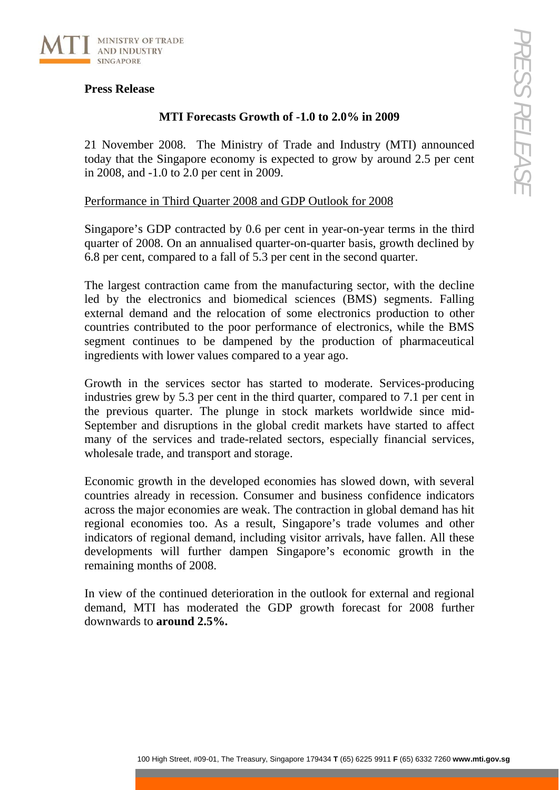## **Press Release**

## **MTI Forecasts Growth of -1.0 to 2.0% in 2009**

21 November 2008. The Ministry of Trade and Industry (MTI) announced today that the Singapore economy is expected to grow by around 2.5 per cent in 2008, and -1.0 to 2.0 per cent in 2009.

## Performance in Third Quarter 2008 and GDP Outlook for 2008

Singapore's GDP contracted by 0.6 per cent in year-on-year terms in the third quarter of 2008. On an annualised quarter-on-quarter basis, growth declined by 6.8 per cent, compared to a fall of 5.3 per cent in the second quarter.

The largest contraction came from the manufacturing sector, with the decline led by the electronics and biomedical sciences (BMS) segments. Falling external demand and the relocation of some electronics production to other countries contributed to the poor performance of electronics, while the BMS segment continues to be dampened by the production of pharmaceutical ingredients with lower values compared to a year ago.

Growth in the services sector has started to moderate. Services-producing industries grew by 5.3 per cent in the third quarter, compared to 7.1 per cent in the previous quarter. The plunge in stock markets worldwide since mid-September and disruptions in the global credit markets have started to affect many of the services and trade-related sectors, especially financial services, wholesale trade, and transport and storage.

Economic growth in the developed economies has slowed down, with several countries already in recession. Consumer and business confidence indicators across the major economies are weak. The contraction in global demand has hit regional economies too. As a result, Singapore's trade volumes and other indicators of regional demand, including visitor arrivals, have fallen. All these developments will further dampen Singapore's economic growth in the remaining months of 2008.

In view of the continued deterioration in the outlook for external and regional demand, MTI has moderated the GDP growth forecast for 2008 further downwards to **around 2.5%.**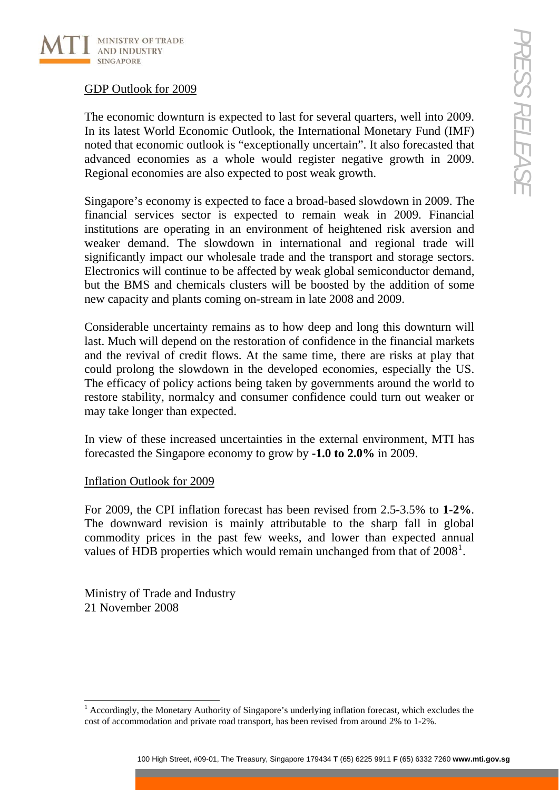

# GDP Outlook for 2009

The economic downturn is expected to last for several quarters, well into 2009. In its latest World Economic Outlook, the International Monetary Fund (IMF) noted that economic outlook is "exceptionally uncertain". It also forecasted that advanced economies as a whole would register negative growth in 2009. Regional economies are also expected to post weak growth.

Singapore's economy is expected to face a broad-based slowdown in 2009. The financial services sector is expected to remain weak in 2009. Financial institutions are operating in an environment of heightened risk aversion and weaker demand. The slowdown in international and regional trade will significantly impact our wholesale trade and the transport and storage sectors. Electronics will continue to be affected by weak global semiconductor demand, but the BMS and chemicals clusters will be boosted by the addition of some new capacity and plants coming on-stream in late 2008 and 2009.

Considerable uncertainty remains as to how deep and long this downturn will last. Much will depend on the restoration of confidence in the financial markets and the revival of credit flows. At the same time, there are risks at play that could prolong the slowdown in the developed economies, especially the US. The efficacy of policy actions being taken by governments around the world to restore stability, normalcy and consumer confidence could turn out weaker or may take longer than expected.

In view of these increased uncertainties in the external environment, MTI has forecasted the Singapore economy to grow by **-1.0 to 2.0%** in 2009.

# Inflation Outlook for 2009

For 2009, the CPI inflation forecast has been revised from 2.5-3.5% to **1-2%**. The downward revision is mainly attributable to the sharp fall in global commodity prices in the past few weeks, and lower than expected annual values of HDB properties which would remain unchanged from that of  $2008<sup>1</sup>$  $2008<sup>1</sup>$  $2008<sup>1</sup>$ .

Ministry of Trade and Industry 21 November 2008

<span id="page-1-0"></span><sup>-</sup><sup>1</sup> Accordingly, the Monetary Authority of Singapore's underlying inflation forecast, which excludes the cost of accommodation and private road transport, has been revised from around 2% to 1-2%.